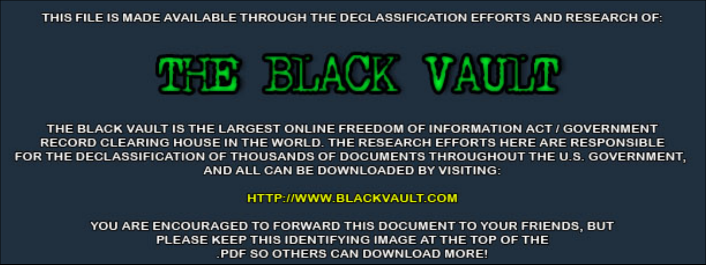THIS FILE IS MADE AVAILABLE THROUGH THE DECLASSIFICATION EFFORTS AND RESEARCH OF:



THE BLACK VAULT IS THE LARGEST ONLINE FREEDOM OF INFORMATION ACT / GOVERNMENT RECORD CLEARING HOUSE IN THE WORLD. THE RESEARCH EFFORTS HERE ARE RESPONSIBLE FOR THE DECLASSIFICATION OF THOUSANDS OF DOCUMENTS THROUGHOUT THE U.S. GOVERNMENT, AND ALL CAN BE DOWNLOADED BY VISITING:

**HTTP://WWW.BLACKVAULT.COM** 

YOU ARE ENCOURAGED TO FORWARD THIS DOCUMENT TO YOUR FRIENDS, BUT PLEASE KEEP THIS IDENTIFYING IMAGE AT THE TOP OF THE PDF SO OTHERS CAN DOWNLOAD MORE!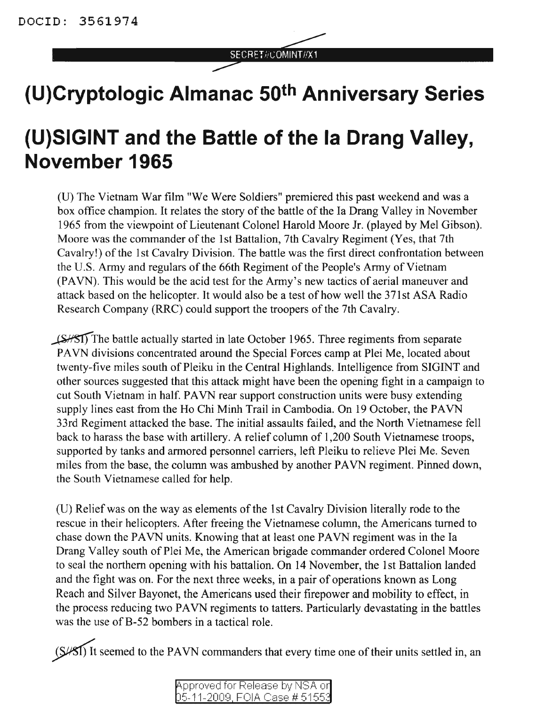## SECRET//COMINT//X1

## **(U)Cryptologic Almanac 50th Anniversary Series**

## **(U)SIGINT and the Battle of the la Orang Valley, November 1965**

(U) The Vietnam War film "We Were Soldiers" premiered this past weekend and was a box office champion. It relates the story of the battle of the Ia Drang Valley in November 1965 from the viewpoint of Lieutenant Colonel Harold Moore Jr. (played by Mel Gibson). Moore was the commander of the 1st Battalion, 7th Cavalry Regiment (Yes, that 7th Cavalry!) of the 1st Cavalry Division. The battle was the first direct confrontation between the U.S. Army and regulars of the 66th Regiment of the People's Army of Vietnam (PAVN). This would be the acid test for the Army's new tactics of aerial maneuver and attack based on the helicopter. It would also be a test of how well the 37lst ASA Radio Research Company (RRC) could support the troopers of the 7th Cavalry.

~The battle actually started in late October 1965. Three regiments from separate PAVN divisions concentrated around the Special Forces camp at Plei Me, located about twenty-five miles south of Pleiku in the Central Highlands. Intelligence from SIGINT and other sources suggested that this attack might have been the opening fight in a campaign to cut South Vietnam in half. PAVN rear support construction units were busy extending supply lines east from the Ho Chi Minh Trail in Cambodia. On 19 October, the PAVN 33rd Regiment attacked the base. The initial assaults failed, and the North Vietnamese fell back to harass the base with artillery. A relief column of 1,200 South Vietnamese troops, supported by tanks and armored personnel carriers, left Pleiku to relieve Plei Me. Seven miles from the base, the column was ambushed by another PAVN regiment. Pinned down, the South Vietnamese called for help.

(D) Relief was on the way as elements ofthe 1st Cavalry Division literally rode to the rescue in their helicopters. After freeing the Vietnamese column, the Americans turned to chase down the PAVN units. Knowing that at least one PAVN regiment was in the Ia Drang Valley south of Plei Me, the American brigade commander ordered Colonel Moore to seal the northern opening with his battalion. On 14 November, the 1st Battalion landed and the fight was on. For the next three weeks, in a pair of operations known as Long Reach and Silver Bayonet, the Americans used their firepower and mobility to effect, in the process reducing two PAVN regiments to tatters. Particularly devastating in the battles was the use of B-52 bombers in a tactical role.

 $(S/ST)$  It seemed to the PAVN commanders that every time one of their units settled in, an

| Approved for Release by NSA or       |  |  |
|--------------------------------------|--|--|
| <u>05-11-2009, FOIA Case # 51553</u> |  |  |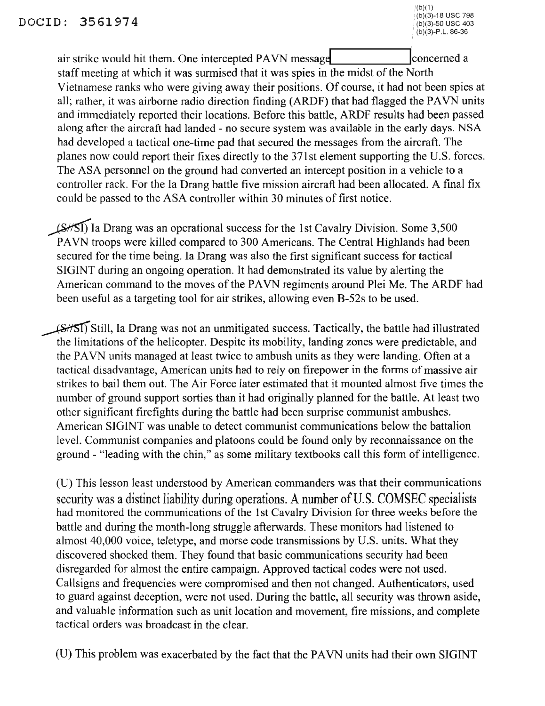air strike would hit them. One intercepted PAVN message concerned a staff meeting at which it was surmised that it was spies in the midst of the North Vietnamese ranks who were giving away their positions. Of course, it had not been spies at all; rather, it was airborne radio direction finding (ARDF) that had flagged the PAVN units and immediately reported their locations. Before this battle, ARDF results had been passed along after the aircraft had landed - no secure system was available in the early days. NSA had developed a tactical one-time pad that secured the messages from the aircraft. The planes now could report their fixes directly to the 37lst element supporting the U.S. forces. The ASA personnel on the ground had converted an intercept position in a vehicle to a controller rack. For the Ia Drang battle five mission aircraft had been allocated. A final fix could be passed to the ASA controller within 30 minutes of first notice.

(S/SI) Ia Drang was an operational success for the 1st Cavalry Division. Some 3,500 PAVN troops were killed compared to 300 Americans. The Central Highlands had been secured for the time being. Ia Drang was also the first significant success for tactical SIGINT during an ongoing operation. It had demonstrated its value by alerting the American command to the moves of the PAVN regiments around Plei Me. The ARDF had been useful as a targeting tool for air strikes, allowing even B-52s to be used.

(SHSI) Still, Ia Drang was not an unmitigated success. Tactically, the battle had illustrated the limitations of the helicopter. Despite its mobility, landing zones were predictable, and the PAVN units managed at least twice to ambush units as they were landing. Often at a tactical disadvantage, American units had to rely on firepower in the forms of massive air strikes to bail them out. The Air Force later estimated that it mounted almost five times the number of ground support sorties than it had originally planned for the battle. At least two other significant firefights during the battle had been surprise communist ambushes. American SIGINT was unable to detect communist communications below the battalion level. Communist companies and platoons could be found only by reconnaissance on the ground - "leading with the chin," as some military textbooks call this form of intelligence.

(U) This lesson least understood by American commanders was that their communications security was a distinct liability during operations. A number of U.S. COMSEC specialists had monitored the communications of the 1st Cavalry Division for three weeks before the battle and during the month-long struggle afterwards. These monitors had listened to almost 40,000 voice, teletype, and morse code transmissions by U.S. units. What they discovered shocked them. They found that basic communications security had been disregarded for almost the entire campaign. Approved tactical codes were not used. Callsigns and frequencies were compromised and then not changed. Authenticators, used to guard against deception, were not used. During the battle, all security was thrown aside, and valuable information such as unit location and movement, fire missions, and complete tactical orders was broadcast in the clear.

(D) This problem was exacerbated by the fact that the PAVN units had their own SIGINT